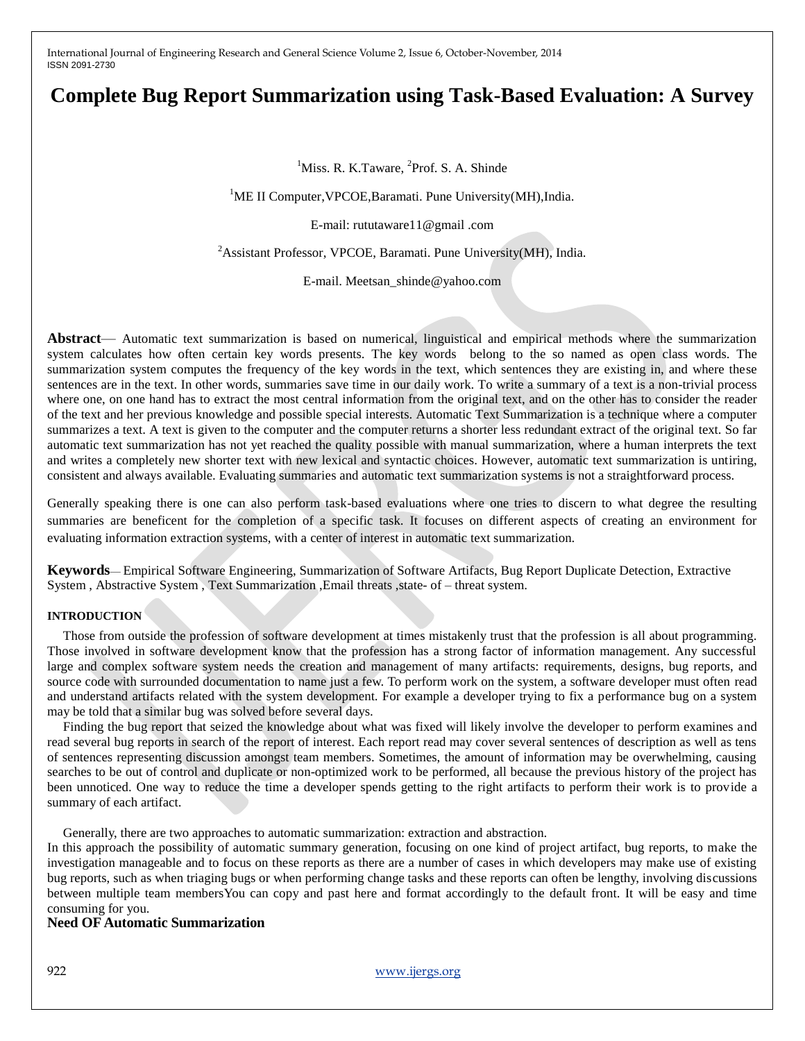# **Complete Bug Report Summarization using Task-Based Evaluation: A Survey**

<sup>1</sup>Miss. R. K.Taware, <sup>2</sup>Prof. S. A. Shinde

<sup>1</sup>ME II Computer, VPCOE, Baramati. Pune University (MH), India.

E-mail: rututaware11@gmail .com

<sup>2</sup> Assistant Professor, VPCOE, Baramati. Pune University(MH), India.

E-mail. Meetsan\_shinde@yahoo.com

**Abstract**— Automatic text summarization is based on numerical, linguistical and empirical methods where the summarization system calculates how often certain key words presents. The key words belong to the so named as open class words. The summarization system computes the frequency of the key words in the text, which sentences they are existing in, and where these sentences are in the text. In other words, summaries save time in our daily work. To write a summary of a text is a non-trivial process where one, on one hand has to extract the most central information from the original text, and on the other has to consider the reader of the text and her previous knowledge and possible special interests. Automatic Text Summarization is a technique where a computer summarizes a text. A text is given to the computer and the computer returns a shorter less redundant extract of the original text. So far automatic text summarization has not yet reached the quality possible with manual summarization, where a human interprets the text and writes a completely new shorter text with new lexical and syntactic choices. However, automatic text summarization is untiring, consistent and always available. Evaluating summaries and automatic text summarization systems is not a straightforward process.

Generally speaking there is one can also perform task-based evaluations where one tries to discern to what degree the resulting summaries are beneficent for the completion of a specific task. It focuses on different aspects of creating an environment for evaluating information extraction systems, with a center of interest in automatic text summarization.

**Keywords**— Empirical Software Engineering, Summarization of Software Artifacts, Bug Report Duplicate Detection, Extractive System , Abstractive System , Text Summarization ,Email threats ,state- of – threat system.

#### **INTRODUCTION**

Those from outside the profession of software development at times mistakenly trust that the profession is all about programming. Those involved in software development know that the profession has a strong factor of information management. Any successful large and complex software system needs the creation and management of many artifacts: requirements, designs, bug reports, and source code with surrounded documentation to name just a few. To perform work on the system, a software developer must often read and understand artifacts related with the system development. For example a developer trying to fix a performance bug on a system may be told that a similar bug was solved before several days.

Finding the bug report that seized the knowledge about what was fixed will likely involve the developer to perform examines and read several bug reports in search of the report of interest. Each report read may cover several sentences of description as well as tens of sentences representing discussion amongst team members. Sometimes, the amount of information may be overwhelming, causing searches to be out of control and duplicate or non-optimized work to be performed, all because the previous history of the project has been unnoticed. One way to reduce the time a developer spends getting to the right artifacts to perform their work is to provide a summary of each artifact.

Generally, there are two approaches to automatic summarization: extraction and abstraction.

In this approach the possibility of automatic summary generation, focusing on one kind of project artifact, bug reports, to make the investigation manageable and to focus on these reports as there are a number of cases in which developers may make use of existing bug reports, such as when triaging bugs or when performing change tasks and these reports can often be lengthy, involving discussions between multiple team membersYou can copy and past here and format accordingly to the default front. It will be easy and time consuming for you.

**Need OF Automatic Summarization**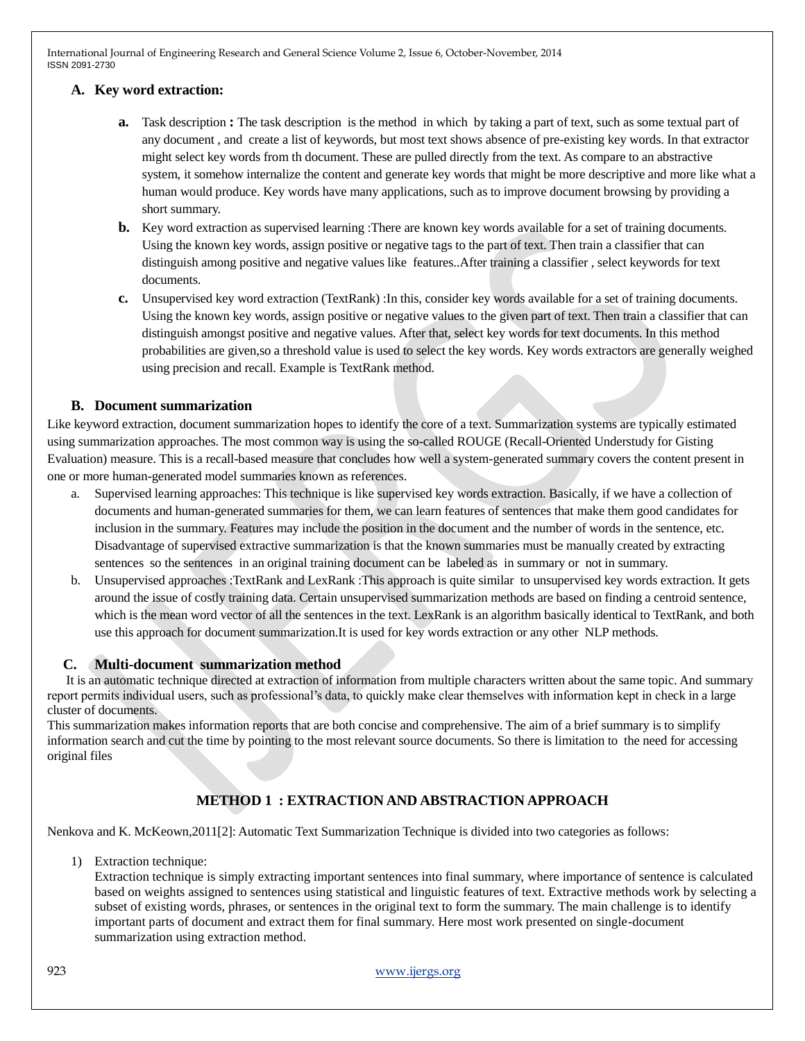## **A. Key word extraction:**

- **a.** Task description **:** The task description is the method in which by taking a part of text, such as some textual part of any document , and create a list of keywords, but most text shows absence of pre-existing key words. In that extractor might select key words from th document. These are pulled directly from the text. As compare to an abstractive system, it somehow internalize the content and generate key words that might be more descriptive and more like what a human would produce. Key words have many applications, such as to improve document browsing by providing a short summary.
- **b.** Key word extraction as supervised learning :There are known key words available for a set of training documents. Using the known key words, assign positive or negative tags to the part of text. Then train a classifier that can distinguish among positive and negative values like features..After training a classifier , select keywords for text documents.
- **c.** Unsupervised key word extraction (TextRank) :In this, consider key words available for a set of training documents. Using the known key words, assign positive or negative values to the given part of text. Then train a classifier that can distinguish amongst positive and negative values. After that, select key words for text documents. In this method probabilities are given,so a threshold value is used to select the key words. Key words extractors are generally weighed using precision and recall. Example is TextRank method.

## **B. Document summarization**

Like keyword extraction, document summarization hopes to identify the core of a text. Summarization systems are typically estimated using summarization approaches. The most common way is using the so-called ROUGE (Recall-Oriented Understudy for Gisting Evaluation) measure. This is a recall-based measure that concludes how well a system-generated summary covers the content present in one or more human-generated model summaries known as references.

- a. Supervised learning approaches: This technique is like supervised key words extraction. Basically, if we have a collection of documents and human-generated summaries for them, we can learn features of sentences that make them good candidates for inclusion in the summary. Features may include the position in the document and the number of words in the sentence, etc. Disadvantage of supervised extractive summarization is that the known summaries must be manually created by extracting sentences so the sentences in an original training document can be labeled as in summary or not in summary.
- b. Unsupervised approaches :TextRank and LexRank :This approach is quite similar to unsupervised key words extraction. It gets around the issue of costly training data. Certain unsupervised summarization methods are based on finding a centroid sentence, which is the mean word vector of all the sentences in the text. LexRank is an algorithm basically identical to TextRank, and both use this approach for document summarization.It is used for key words extraction or any other NLP methods.

### **C. Multi-document summarization method**

It is an automatic technique directed at extraction of information from multiple characters written about the same topic. And summary report permits individual users, such as professional's data, to quickly make clear themselves with information kept in check in a large cluster of documents.

This summarization makes information reports that are both concise and comprehensive. The aim of a brief summary is to simplify information search and cut the time by pointing to the most relevant source documents. So there is limitation to the need for accessing original files

# **METHOD 1 : EXTRACTION AND ABSTRACTION APPROACH**

Nenkova and K. McKeown,2011[2]: Automatic Text Summarization Technique is divided into two categories as follows:

1) Extraction technique:

Extraction technique is simply extracting important sentences into final summary, where importance of sentence is calculated based on weights assigned to sentences using statistical and linguistic features of text. Extractive methods work by selecting a subset of existing words, phrases, or sentences in the original text to form the summary. The main challenge is to identify important parts of document and extract them for final summary. Here most work presented on single-document summarization using extraction method.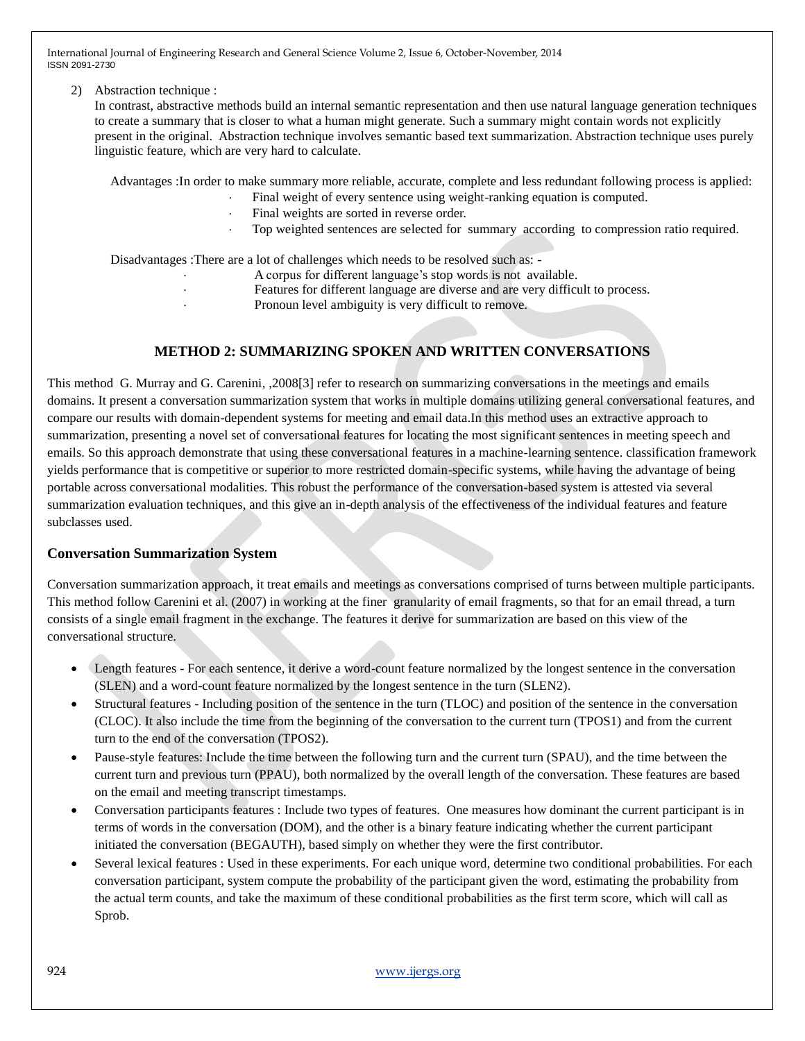#### 2) Abstraction technique :

In contrast, abstractive methods build an internal semantic representation and then use natural language generation techniques to create a summary that is closer to what a human might generate. Such a summary might contain words not explicitly present in the original. Abstraction technique involves semantic based text summarization. Abstraction technique uses purely linguistic feature, which are very hard to calculate.

Advantages :In order to make summary more reliable, accurate, complete and less redundant following process is applied:

- Final weight of every sentence using weight-ranking equation is computed.
- Final weights are sorted in reverse order.
- Top weighted sentences are selected for summary according to compression ratio required.

Disadvantages :There are a lot of challenges which needs to be resolved such as: -

- A corpus for different language's stop words is not available.
- Features for different language are diverse and are very difficult to process.
- Pronoun level ambiguity is very difficult to remove.

# **METHOD 2: SUMMARIZING SPOKEN AND WRITTEN CONVERSATIONS**

This method G. Murray and G. Carenini, ,2008[3] refer to research on summarizing conversations in the meetings and emails domains. It present a conversation summarization system that works in multiple domains utilizing general conversational features, and compare our results with domain-dependent systems for meeting and email data.In this method uses an extractive approach to summarization, presenting a novel set of conversational features for locating the most significant sentences in meeting speech and emails. So this approach demonstrate that using these conversational features in a machine-learning sentence. classification framework yields performance that is competitive or superior to more restricted domain-specific systems, while having the advantage of being portable across conversational modalities. This robust the performance of the conversation-based system is attested via several summarization evaluation techniques, and this give an in-depth analysis of the effectiveness of the individual features and feature subclasses used.

## **Conversation Summarization System**

Conversation summarization approach, it treat emails and meetings as conversations comprised of turns between multiple participants. This method follow Carenini et al. (2007) in working at the finer granularity of email fragments, so that for an email thread, a turn consists of a single email fragment in the exchange. The features it derive for summarization are based on this view of the conversational structure.

- Length features For each sentence, it derive a word-count feature normalized by the longest sentence in the conversation (SLEN) and a word-count feature normalized by the longest sentence in the turn (SLEN2).
- Structural features Including position of the sentence in the turn (TLOC) and position of the sentence in the conversation (CLOC). It also include the time from the beginning of the conversation to the current turn (TPOS1) and from the current turn to the end of the conversation (TPOS2).
- Pause-style features: Include the time between the following turn and the current turn (SPAU), and the time between the current turn and previous turn (PPAU), both normalized by the overall length of the conversation. These features are based on the email and meeting transcript timestamps.
- Conversation participants features : Include two types of features. One measures how dominant the current participant is in terms of words in the conversation (DOM), and the other is a binary feature indicating whether the current participant initiated the conversation (BEGAUTH), based simply on whether they were the first contributor.
- Several lexical features : Used in these experiments. For each unique word, determine two conditional probabilities. For each conversation participant, system compute the probability of the participant given the word, estimating the probability from the actual term counts, and take the maximum of these conditional probabilities as the first term score, which will call as Sprob.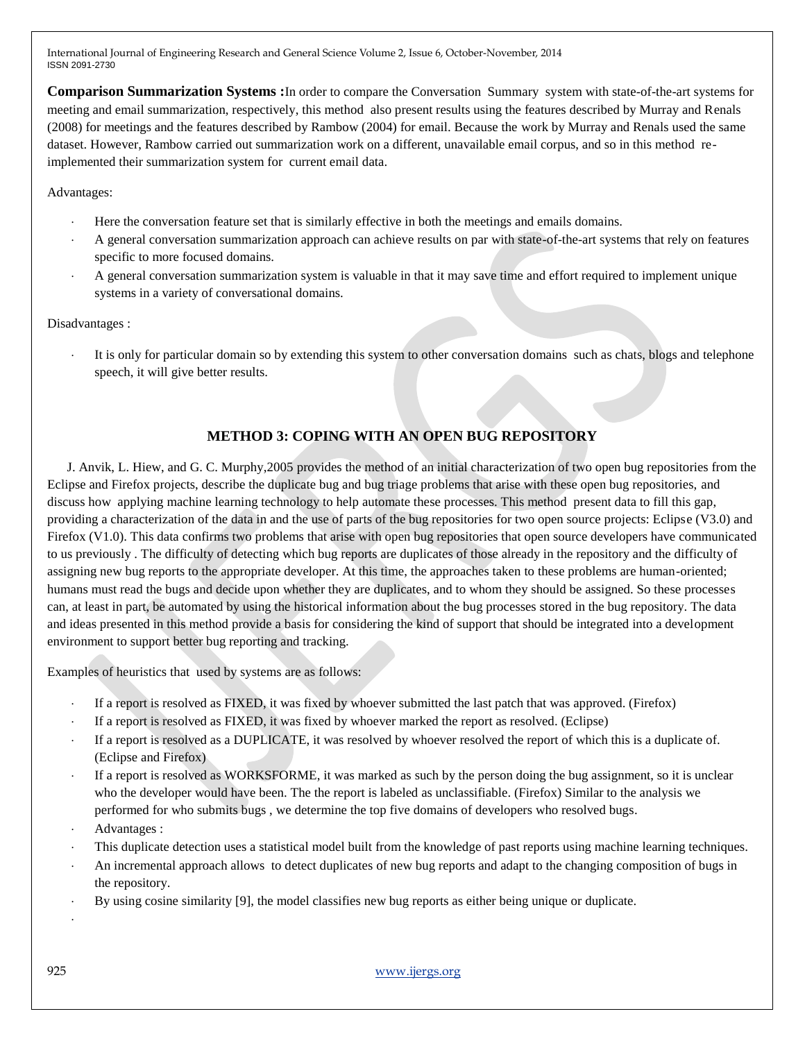**Comparison Summarization Systems :**In order to compare the Conversation Summary system with state-of-the-art systems for meeting and email summarization, respectively, this method also present results using the features described by Murray and Renals (2008) for meetings and the features described by Rambow (2004) for email. Because the work by Murray and Renals used the same dataset. However, Rambow carried out summarization work on a different, unavailable email corpus, and so in this method reimplemented their summarization system for current email data.

Advantages:

- Here the conversation feature set that is similarly effective in both the meetings and emails domains.
- A general conversation summarization approach can achieve results on par with state-of-the-art systems that rely on features specific to more focused domains.
- A general conversation summarization system is valuable in that it may save time and effort required to implement unique systems in a variety of conversational domains.

Disadvantages :

 It is only for particular domain so by extending this system to other conversation domains such as chats, blogs and telephone speech, it will give better results.

# **METHOD 3: COPING WITH AN OPEN BUG REPOSITORY**

 J. Anvik, L. Hiew, and G. C. Murphy,2005 provides the method of an initial characterization of two open bug repositories from the Eclipse and Firefox projects, describe the duplicate bug and bug triage problems that arise with these open bug repositories, and discuss how applying machine learning technology to help automate these processes. This method present data to fill this gap, providing a characterization of the data in and the use of parts of the bug repositories for two open source projects: Eclipse (V3.0) and Firefox (V1.0). This data confirms two problems that arise with open bug repositories that open source developers have communicated to us previously . The difficulty of detecting which bug reports are duplicates of those already in the repository and the difficulty of assigning new bug reports to the appropriate developer. At this time, the approaches taken to these problems are human-oriented; humans must read the bugs and decide upon whether they are duplicates, and to whom they should be assigned. So these processes can, at least in part, be automated by using the historical information about the bug processes stored in the bug repository. The data and ideas presented in this method provide a basis for considering the kind of support that should be integrated into a development environment to support better bug reporting and tracking.

Examples of heuristics that used by systems are as follows:

- If a report is resolved as FIXED, it was fixed by whoever submitted the last patch that was approved. (Firefox)
- If a report is resolved as FIXED, it was fixed by whoever marked the report as resolved. (Eclipse)
- If a report is resolved as a DUPLICATE, it was resolved by whoever resolved the report of which this is a duplicate of. (Eclipse and Firefox)
- If a report is resolved as WORKSFORME, it was marked as such by the person doing the bug assignment, so it is unclear who the developer would have been. The the report is labeled as unclassifiable. (Firefox) Similar to the analysis we performed for who submits bugs , we determine the top five domains of developers who resolved bugs.
- Advantages :
- This duplicate detection uses a statistical model built from the knowledge of past reports using machine learning techniques.
- An incremental approach allows to detect duplicates of new bug reports and adapt to the changing composition of bugs in the repository.
- By using cosine similarity [9], the model classifies new bug reports as either being unique or duplicate.

.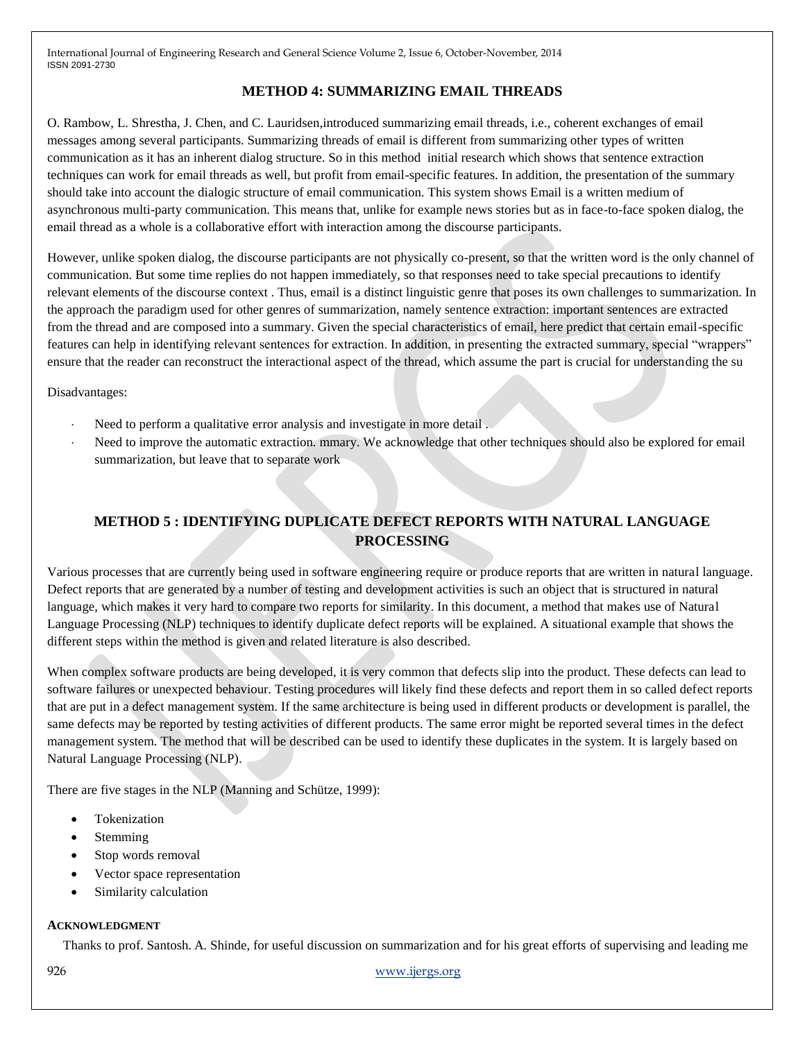# **METHOD 4: SUMMARIZING EMAIL THREADS**

O. Rambow, L. Shrestha, J. Chen, and C. Lauridsen,introduced summarizing email threads, i.e., coherent exchanges of email messages among several participants. Summarizing threads of email is different from summarizing other types of written communication as it has an inherent dialog structure. So in this method initial research which shows that sentence extraction techniques can work for email threads as well, but profit from email-specific features. In addition, the presentation of the summary should take into account the dialogic structure of email communication. This system shows Email is a written medium of asynchronous multi-party communication. This means that, unlike for example news stories but as in face-to-face spoken dialog, the email thread as a whole is a collaborative effort with interaction among the discourse participants.

However, unlike spoken dialog, the discourse participants are not physically co-present, so that the written word is the only channel of communication. But some time replies do not happen immediately, so that responses need to take special precautions to identify relevant elements of the discourse context . Thus, email is a distinct linguistic genre that poses its own challenges to summarization. In the approach the paradigm used for other genres of summarization, namely sentence extraction: important sentences are extracted from the thread and are composed into a summary. Given the special characteristics of email, here predict that certain email-specific features can help in identifying relevant sentences for extraction. In addition, in presenting the extracted summary, special "wrappers" ensure that the reader can reconstruct the interactional aspect of the thread, which assume the part is crucial for understanding the su

Disadvantages:

- Need to perform a qualitative error analysis and investigate in more detail .
- Need to improve the automatic extraction. mmary. We acknowledge that other techniques should also be explored for email summarization, but leave that to separate work

# **METHOD 5 : IDENTIFYING DUPLICATE DEFECT REPORTS WITH NATURAL LANGUAGE PROCESSING**

Various processes that are currently being used in software engineering require or produce reports that are written in natural language. Defect reports that are generated by a number of testing and development activities is such an object that is structured in natural language, which makes it very hard to compare two reports for similarity. In this document, a method that makes use of Natural Language Processing (NLP) techniques to identify duplicate defect reports will be explained. A situational example that shows the different steps within the method is given and related literature is also described.

When complex software products are being developed, it is very common that defects slip into the product. These defects can lead to software failures or unexpected behaviour. Testing procedures will likely find these defects and report them in so called defect reports that are put in a defect management system. If the same architecture is being used in different products or development is parallel, the same defects may be reported by testing activities of different products. The same error might be reported several times in the defect management system. The method that will be described can be used to identify these duplicates in the system. It is largely based on Natural Language Processing (NLP).

There are five stages in the NLP (Manning and Schütze, 1999):

- Tokenization
- Stemming
- Stop words removal
- Vector space representation
- Similarity calculation

#### **ACKNOWLEDGMENT**

Thanks to prof. Santosh. A. Shinde, for useful discussion on summarization and for his great efforts of supervising and leading me